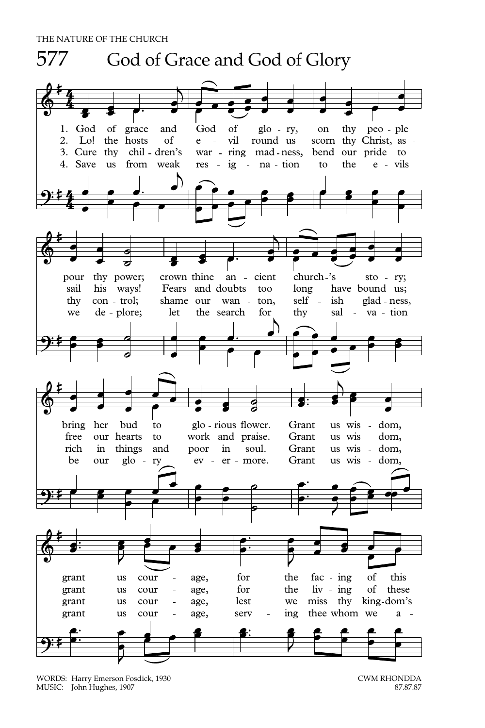

WORDS: Harry Emerson Fosdick, 1930 MUSIC: John Hughes, 1907